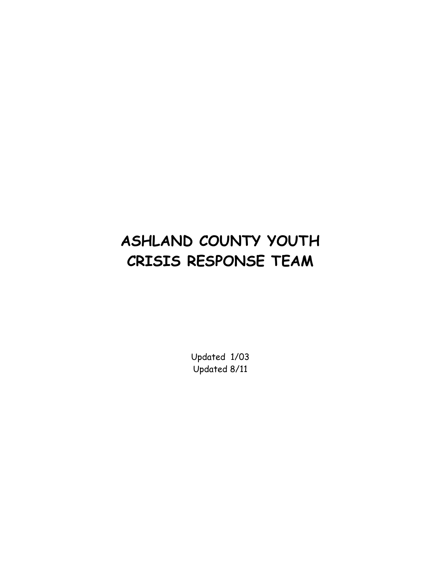# **ASHLAND COUNTY YOUTH CRISIS RESPONSE TEAM**

Updated 1/03 Updated 8/11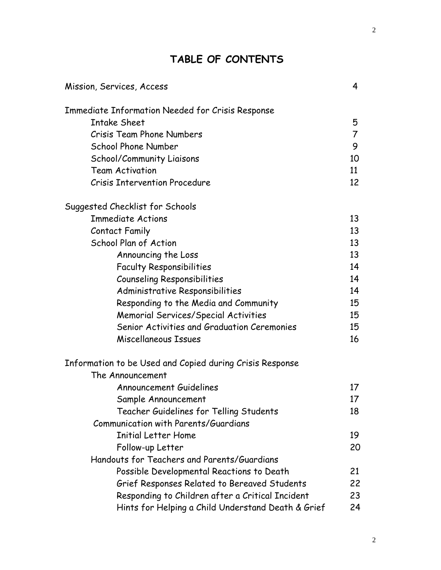# **TABLE OF CONTENTS**

| Mission, Services, Access                                | 4  |
|----------------------------------------------------------|----|
| <b>Immediate Information Needed for Crisis Response</b>  |    |
| <b>Intake Sheet</b>                                      | 5  |
| <b>Crisis Team Phone Numbers</b>                         | 7  |
| <b>School Phone Number</b>                               | 9  |
| School/Community Liaisons                                | 10 |
| <b>Team Activation</b>                                   | 11 |
| <b>Crisis Intervention Procedure</b>                     | 12 |
| Suggested Checklist for Schools                          |    |
| <b>Immediate Actions</b>                                 | 13 |
| Contact Family                                           | 13 |
| School Plan of Action                                    | 13 |
| Announcing the Loss                                      | 13 |
| <b>Faculty Responsibilities</b>                          | 14 |
| <b>Counseling Responsibilities</b>                       | 14 |
| Administrative Responsibilities                          | 14 |
| Responding to the Media and Community                    | 15 |
| <b>Memorial Services/Special Activities</b>              | 15 |
| Senior Activities and Graduation Ceremonies              | 15 |
| Miscellaneous Issues                                     | 16 |
| Information to be Used and Copied during Crisis Response |    |
| The Announcement                                         |    |
| <b>Announcement Guidelines</b>                           | 17 |
| Sample Announcement                                      | 17 |
| Teacher Guidelines for Telling Students                  | 18 |
| Communication with Parents/Guardians                     |    |
| <b>Initial Letter Home</b>                               | 19 |
| Follow-up Letter                                         | 20 |
| Handouts for Teachers and Parents/Guardians              |    |
| Possible Developmental Reactions to Death                | 21 |
| Grief Responses Related to Bereaved Students             | 22 |
| Responding to Children after a Critical Incident         | 23 |
| Hints for Helping a Child Understand Death & Grief       | 24 |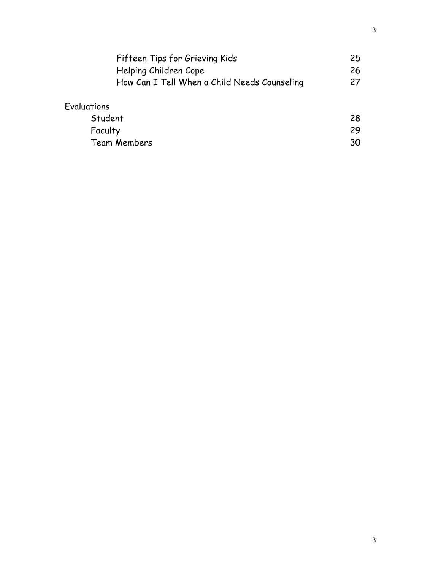| Fifteen Tips for Grieving Kids               | 25 |
|----------------------------------------------|----|
| Helping Children Cope                        | 26 |
| How Can I Tell When a Child Needs Counseling | 27 |
| Evaluations                                  |    |
| Student                                      | 28 |
| Faculty                                      | 29 |
| <b>Team Members</b>                          | 30 |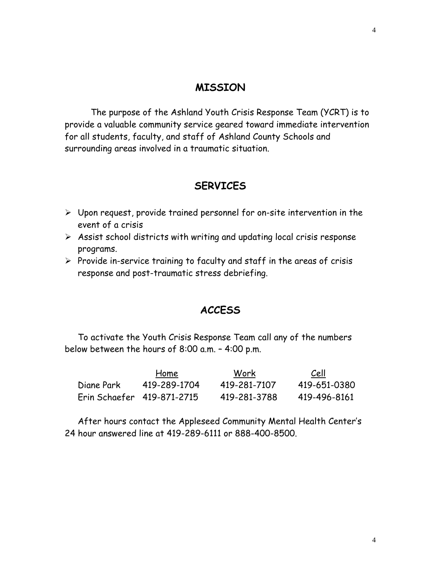#### **MISSION**

 The purpose of the Ashland Youth Crisis Response Team (YCRT) is to provide a valuable community service geared toward immediate intervention for all students, faculty, and staff of Ashland County Schools and surrounding areas involved in a traumatic situation.

#### **SERVICES**

- $\triangleright$  Upon request, provide trained personnel for on-site intervention in the event of a crisis
- $\triangleright$  Assist school districts with writing and updating local crisis response programs.
- $\triangleright$  Provide in-service training to faculty and staff in the areas of crisis response and post-traumatic stress debriefing.

#### **ACCESS**

To activate the Youth Crisis Response Team call any of the numbers below between the hours of 8:00 a.m. – 4:00 p.m.

|                            | Home         | Work         | Cell         |
|----------------------------|--------------|--------------|--------------|
| Diane Park                 | 419-289-1704 | 419-281-7107 | 419-651-0380 |
| Erin Schaefer 419-871-2715 |              | 419-281-3788 | 419-496-8161 |

After hours contact the Appleseed Community Mental Health Center's 24 hour answered line at 419-289-6111 or 888-400-8500.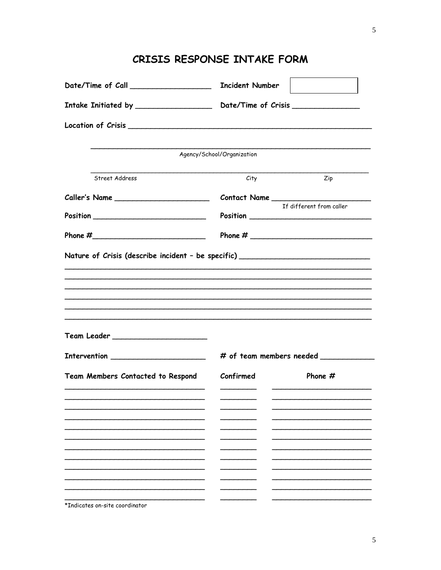| Date/Time of Call _________________________________ Incident Number              |                                                                                  |                          |  |
|----------------------------------------------------------------------------------|----------------------------------------------------------------------------------|--------------------------|--|
|                                                                                  | Intake Initiated by _____________________ Date/Time of Crisis __________________ |                          |  |
|                                                                                  |                                                                                  |                          |  |
|                                                                                  | Agency/School/Organization                                                       |                          |  |
| Street Address                                                                   | City                                                                             | Zip                      |  |
|                                                                                  |                                                                                  |                          |  |
|                                                                                  |                                                                                  | If different from caller |  |
|                                                                                  |                                                                                  |                          |  |
| Nature of Crisis (describe incident - be specific) _____________________________ |                                                                                  |                          |  |
|                                                                                  |                                                                                  |                          |  |
|                                                                                  |                                                                                  |                          |  |
|                                                                                  |                                                                                  |                          |  |
|                                                                                  |                                                                                  |                          |  |
|                                                                                  |                                                                                  |                          |  |
|                                                                                  |                                                                                  |                          |  |
|                                                                                  | # of team members needed ___________                                             |                          |  |
| Team Members Contacted to Respond                                                | Confirmed                                                                        | Phone $#$                |  |
|                                                                                  |                                                                                  |                          |  |
|                                                                                  |                                                                                  |                          |  |
|                                                                                  |                                                                                  |                          |  |
|                                                                                  |                                                                                  |                          |  |
|                                                                                  |                                                                                  |                          |  |
|                                                                                  |                                                                                  |                          |  |
| *Indicates on-site coordinator                                                   |                                                                                  |                          |  |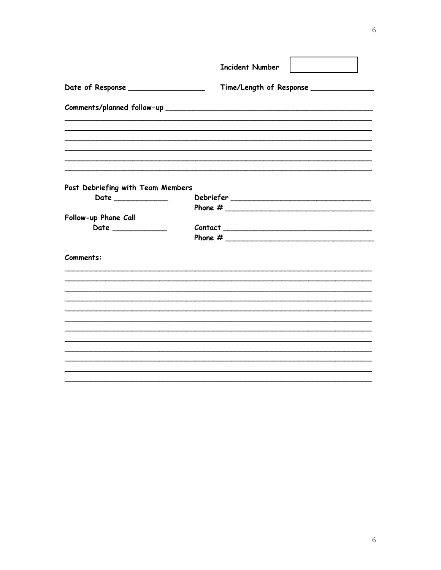|                                                                                                                                                                                                                                                                                                                                                                             | <b>Incident Number</b> |                         |  |  |
|-----------------------------------------------------------------------------------------------------------------------------------------------------------------------------------------------------------------------------------------------------------------------------------------------------------------------------------------------------------------------------|------------------------|-------------------------|--|--|
| Date of Response ___________________                                                                                                                                                                                                                                                                                                                                        |                        | Time/Length of Response |  |  |
|                                                                                                                                                                                                                                                                                                                                                                             |                        |                         |  |  |
|                                                                                                                                                                                                                                                                                                                                                                             |                        |                         |  |  |
|                                                                                                                                                                                                                                                                                                                                                                             |                        |                         |  |  |
| Post Debriefing with Team Members                                                                                                                                                                                                                                                                                                                                           |                        |                         |  |  |
| $\begin{picture}(20,20) \put(0,0){\dashbox{0.5}(5,0){ }} \put(15,0){\dashbox{0.5}(5,0){ }} \put(15,0){\dashbox{0.5}(5,0){ }} \put(15,0){\dashbox{0.5}(5,0){ }} \put(15,0){\dashbox{0.5}(5,0){ }} \put(15,0){\dashbox{0.5}(5,0){ }} \put(15,0){\dashbox{0.5}(5,0){ }} \put(15,0){\dashbox{0.5}(5,0){ }} \put(15,0){\dashbox{0.5}(5,0){ }} \put(15,0){\dashbox{0.5}(5,0){ }}$ |                        |                         |  |  |
|                                                                                                                                                                                                                                                                                                                                                                             |                        |                         |  |  |
| Follow-up Phone Call                                                                                                                                                                                                                                                                                                                                                        |                        |                         |  |  |
| Date ______________                                                                                                                                                                                                                                                                                                                                                         |                        |                         |  |  |
| Comments:                                                                                                                                                                                                                                                                                                                                                                   |                        |                         |  |  |
|                                                                                                                                                                                                                                                                                                                                                                             |                        |                         |  |  |
|                                                                                                                                                                                                                                                                                                                                                                             |                        |                         |  |  |
|                                                                                                                                                                                                                                                                                                                                                                             |                        |                         |  |  |
|                                                                                                                                                                                                                                                                                                                                                                             |                        |                         |  |  |
|                                                                                                                                                                                                                                                                                                                                                                             |                        |                         |  |  |
|                                                                                                                                                                                                                                                                                                                                                                             |                        |                         |  |  |
|                                                                                                                                                                                                                                                                                                                                                                             |                        |                         |  |  |
|                                                                                                                                                                                                                                                                                                                                                                             |                        |                         |  |  |
|                                                                                                                                                                                                                                                                                                                                                                             |                        |                         |  |  |
|                                                                                                                                                                                                                                                                                                                                                                             |                        |                         |  |  |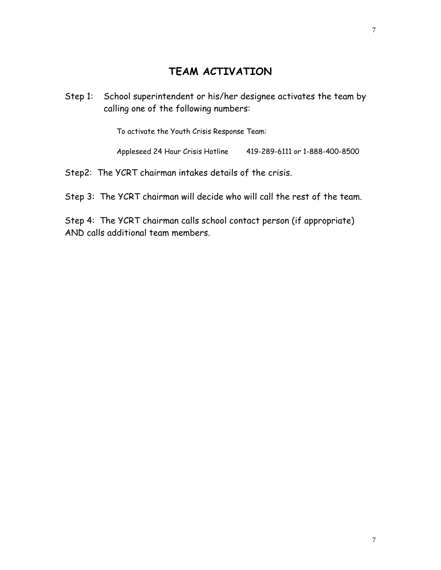#### **TEAM ACTIVATION**

Step 1: School superintendent or his/her designee activates the team by calling one of the following numbers:

To activate the Youth Crisis Response Team:

Appleseed 24 Hour Crisis Hotline 419-289-6111 or 1-888-400-8500

Step2: The YCRT chairman intakes details of the crisis.

Step 3: The YCRT chairman will decide who will call the rest of the team.

Step 4: The YCRT chairman calls school contact person (if appropriate) AND calls additional team members.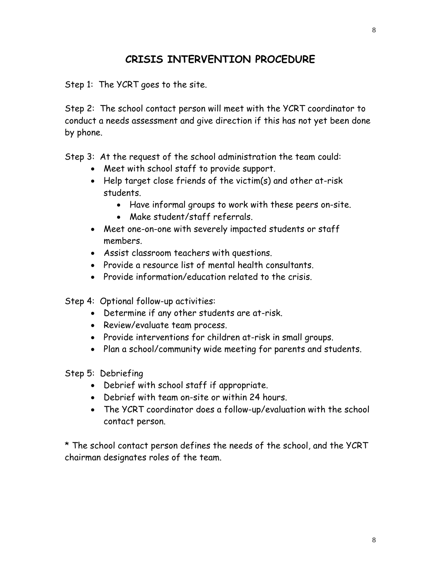#### **CRISIS INTERVENTION PROCEDURE**

Step 1: The YCRT goes to the site.

Step 2: The school contact person will meet with the YCRT coordinator to conduct a needs assessment and give direction if this has not yet been done by phone.

Step 3: At the request of the school administration the team could:

- Meet with school staff to provide support.
- Help target close friends of the victim(s) and other at-risk students.
	- Have informal groups to work with these peers on-site.
	- Make student/staff referrals.
- Meet one-on-one with severely impacted students or staff members.
- Assist classroom teachers with questions.
- Provide a resource list of mental health consultants.
- Provide information/education related to the crisis.

Step 4: Optional follow-up activities:

- Determine if any other students are at-risk.
- Review/evaluate team process.
- Provide interventions for children at-risk in small groups.
- Plan a school/community wide meeting for parents and students.
- Step 5: Debriefing
	- Debrief with school staff if appropriate.
	- Debrief with team on-site or within 24 hours.
	- The YCRT coordinator does a follow-up/evaluation with the school contact person.

\* The school contact person defines the needs of the school, and the YCRT chairman designates roles of the team.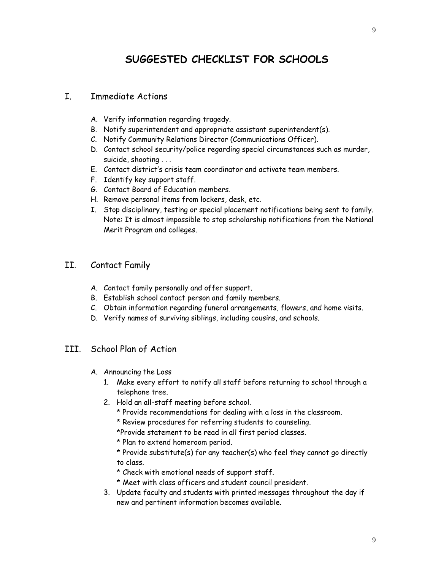## **SUGGESTED CHECKLIST FOR SCHOOLS**

#### I. Immediate Actions

- A. Verify information regarding tragedy.
- B. Notify superintendent and appropriate assistant superintendent(s).
- C. Notify Community Relations Director (Communications Officer).
- D. Contact school security/police regarding special circumstances such as murder, suicide, shooting . . .
- E. Contact district's crisis team coordinator and activate team members.
- F. Identify key support staff.
- G. Contact Board of Education members.
- H. Remove personal items from lockers, desk, etc.
- I. Stop disciplinary, testing or special placement notifications being sent to family. Note: It is almost impossible to stop scholarship notifications from the National Merit Program and colleges.
- II. Contact Family
	- A. Contact family personally and offer support.
	- B. Establish school contact person and family members.
	- C. Obtain information regarding funeral arrangements, flowers, and home visits.
	- D. Verify names of surviving siblings, including cousins, and schools.
- III. School Plan of Action
	- A. Announcing the Loss
		- 1. Make every effort to notify all staff before returning to school through a telephone tree.
		- 2. Hold an all-staff meeting before school.
			- \* Provide recommendations for dealing with a loss in the classroom.
			- \* Review procedures for referring students to counseling.

\*Provide statement to be read in all first period classes.

\* Plan to extend homeroom period.

\* Provide substitute(s) for any teacher(s) who feel they cannot go directly to class.

- \* Check with emotional needs of support staff.
- \* Meet with class officers and student council president.
- 3. Update faculty and students with printed messages throughout the day if new and pertinent information becomes available.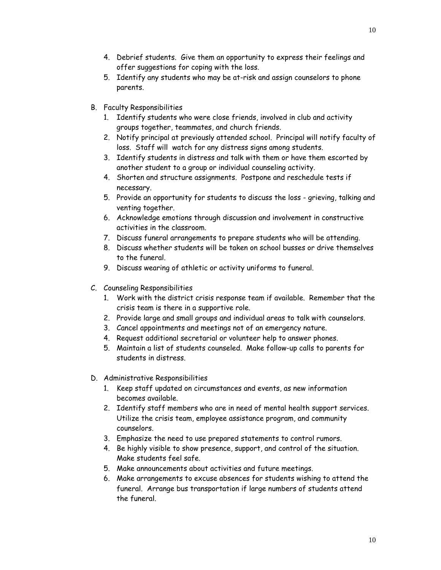- 4. Debrief students. Give them an opportunity to express their feelings and offer suggestions for coping with the loss.
- 5. Identify any students who may be at-risk and assign counselors to phone parents.
- B. Faculty Responsibilities
	- 1. Identify students who were close friends, involved in club and activity groups together, teammates, and church friends.
	- 2. Notify principal at previously attended school. Principal will notify faculty of loss. Staff will watch for any distress signs among students.
	- 3. Identify students in distress and talk with them or have them escorted by another student to a group or individual counseling activity.
	- 4. Shorten and structure assignments. Postpone and reschedule tests if necessary.
	- 5. Provide an opportunity for students to discuss the loss grieving, talking and venting together.
	- 6. Acknowledge emotions through discussion and involvement in constructive activities in the classroom.
	- 7. Discuss funeral arrangements to prepare students who will be attending.
	- 8. Discuss whether students will be taken on school busses or drive themselves to the funeral.
	- 9. Discuss wearing of athletic or activity uniforms to funeral.
- C. Counseling Responsibilities
	- 1. Work with the district crisis response team if available. Remember that the crisis team is there in a supportive role.
	- 2. Provide large and small groups and individual areas to talk with counselors.
	- 3. Cancel appointments and meetings not of an emergency nature.
	- 4. Request additional secretarial or volunteer help to answer phones.
	- 5. Maintain a list of students counseled. Make follow-up calls to parents for students in distress.
- D. Administrative Responsibilities
	- 1. Keep staff updated on circumstances and events, as new information becomes available.
	- 2. Identify staff members who are in need of mental health support services. Utilize the crisis team, employee assistance program, and community counselors.
	- 3. Emphasize the need to use prepared statements to control rumors.
	- 4. Be highly visible to show presence, support, and control of the situation. Make students feel safe.
	- 5. Make announcements about activities and future meetings.
	- 6. Make arrangements to excuse absences for students wishing to attend the funeral. Arrange bus transportation if large numbers of students attend the funeral.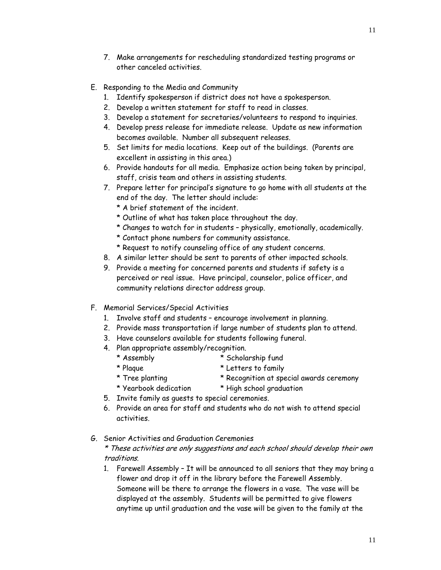- 7. Make arrangements for rescheduling standardized testing programs or other canceled activities.
- E. Responding to the Media and Community
	- 1. Identify spokesperson if district does not have a spokesperson.
	- 2. Develop a written statement for staff to read in classes.
	- 3. Develop a statement for secretaries/volunteers to respond to inquiries.
	- 4. Develop press release for immediate release. Update as new information becomes available. Number all subsequent releases.
	- 5. Set limits for media locations. Keep out of the buildings. (Parents are excellent in assisting in this area.)
	- 6. Provide handouts for all media. Emphasize action being taken by principal, staff, crisis team and others in assisting students.
	- 7. Prepare letter for principal's signature to go home with all students at the end of the day. The letter should include:
		- \* A brief statement of the incident.
		- \* Outline of what has taken place throughout the day.
		- \* Changes to watch for in students physically, emotionally, academically.
		- \* Contact phone numbers for community assistance.
		- \* Request to notify counseling office of any student concerns.
	- 8. A similar letter should be sent to parents of other impacted schools.
	- 9. Provide a meeting for concerned parents and students if safety is a perceived or real issue. Have principal, counselor, police officer, and community relations director address group.
- F. Memorial Services/Special Activities
	- 1. Involve staff and students encourage involvement in planning.
	- 2. Provide mass transportation if large number of students plan to attend.
	- 3. Have counselors available for students following funeral.
	- 4. Plan appropriate assembly/recognition.
		- \* Assembly \* Scholarship fund
			-
		- \* Plaque \* Letters to family
		-
- 
- \* Tree planting \* Recognition at special awards ceremony
- \* Yearbook dedication \* High school graduation
- 5. Invite family as guests to special ceremonies.
- 6. Provide an area for staff and students who do not wish to attend special activities.
- G. Senior Activities and Graduation Ceremonies

\* These activities are only suggestions and each school should develop their own traditions.

1. Farewell Assembly – It will be announced to all seniors that they may bring a flower and drop it off in the library before the Farewell Assembly. Someone will be there to arrange the flowers in a vase. The vase will be displayed at the assembly. Students will be permitted to give flowers anytime up until graduation and the vase will be given to the family at the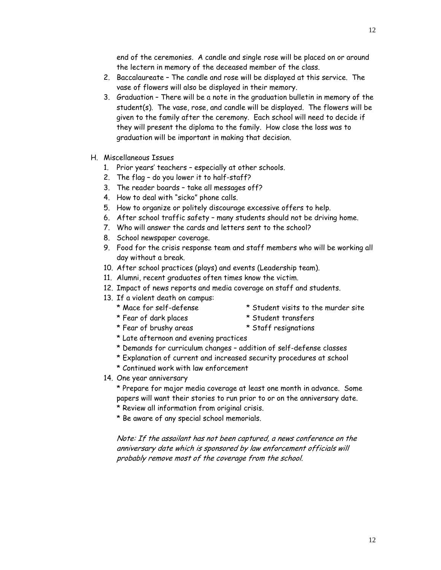end of the ceremonies. A candle and single rose will be placed on or around the lectern in memory of the deceased member of the class.

- 2. Baccalaureate The candle and rose will be displayed at this service. The vase of flowers will also be displayed in their memory.
- 3. Graduation There will be a note in the graduation bulletin in memory of the student(s). The vase, rose, and candle will be displayed. The flowers will be given to the family after the ceremony. Each school will need to decide if they will present the diploma to the family. How close the loss was to graduation will be important in making that decision.
- H. Miscellaneous Issues
	- 1. Prior years' teachers especially at other schools.
	- 2. The flag do you lower it to half-staff?
	- 3. The reader boards take all messages off?
	- 4. How to deal with "sicko" phone calls.
	- 5. How to organize or politely discourage excessive offers to help.
	- 6. After school traffic safety many students should not be driving home.
	- 7. Who will answer the cards and letters sent to the school?
	- 8. School newspaper coverage.
	- 9. Food for the crisis response team and staff members who will be working all day without a break.
	- 10. After school practices (plays) and events (Leadership team).
	- 11. Alumni, recent graduates often times know the victim.
	- 12. Impact of news reports and media coverage on staff and students.
	- 13. If a violent death on campus:
		-
		- \* Mace for self-defense \* Student visits to the murder site
		- \* Fear of dark places \* Student transfers
			-
		- \* Fear of brushy areas \* Staff resignations
		- \* Late afternoon and evening practices
		- \* Demands for curriculum changes addition of self-defense classes
		- \* Explanation of current and increased security procedures at school
		- \* Continued work with law enforcement
	- 14. One year anniversary

\* Prepare for major media coverage at least one month in advance. Some papers will want their stories to run prior to or on the anniversary date.

- \* Review all information from original crisis.
- \* Be aware of any special school memorials.

Note: If the assailant has not been captured, a news conference on the anniversary date which is sponsored by law enforcement officials will probably remove most of the coverage from the school.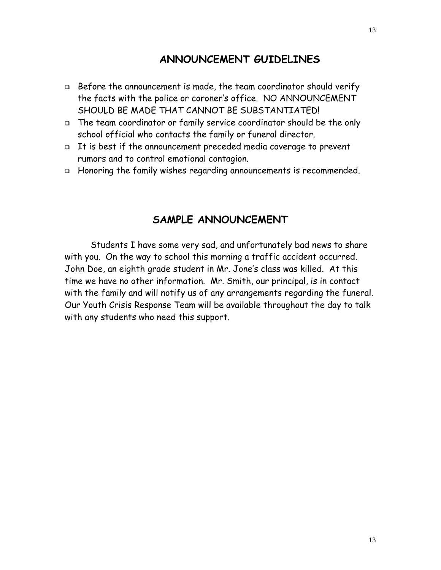#### **ANNOUNCEMENT GUIDELINES**

- Before the announcement is made, the team coordinator should verify the facts with the police or coroner's office. NO ANNOUNCEMENT SHOULD BE MADE THAT CANNOT BE SUBSTANTIATED!
- The team coordinator or family service coordinator should be the only school official who contacts the family or funeral director.
- It is best if the announcement preceded media coverage to prevent rumors and to control emotional contagion.
- Honoring the family wishes regarding announcements is recommended.

#### **SAMPLE ANNOUNCEMENT**

Students I have some very sad, and unfortunately bad news to share with you. On the way to school this morning a traffic accident occurred. John Doe, an eighth grade student in Mr. Jone's class was killed. At this time we have no other information. Mr. Smith, our principal, is in contact with the family and will notify us of any arrangements regarding the funeral. Our Youth Crisis Response Team will be available throughout the day to talk with any students who need this support.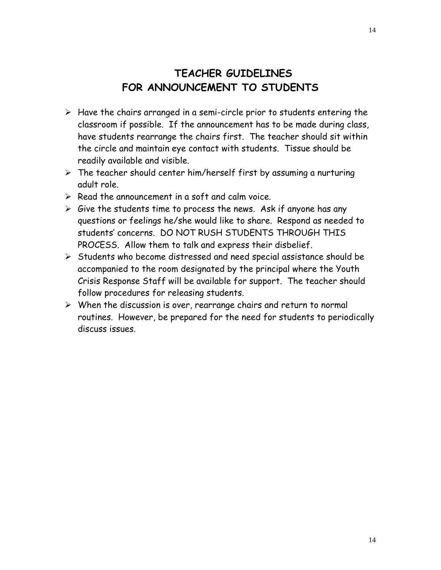# **TEACHER GUIDELINES FOR ANNOUNCEMENT TO STUDENTS**

- $\triangleright$  Have the chairs arranged in a semi-circle prior to students entering the classroom if possible. If the announcement has to be made during class, have students rearrange the chairs first. The teacher should sit within the circle and maintain eye contact with students. Tissue should be readily available and visible.
- $\triangleright$  The teacher should center him/herself first by assuming a nurturing adult role.
- $\triangleright$  Read the announcement in a soft and calm voice.
- $\triangleright$  Give the students time to process the news. Ask if anyone has any questions or feelings he/she would like to share. Respond as needed to students' concerns. DO NOT RUSH STUDENTS THROUGH THIS PROCESS. Allow them to talk and express their disbelief.
- $\triangleright$  Students who become distressed and need special assistance should be accompanied to the room designated by the principal where the Youth Crisis Response Staff will be available for support. The teacher should follow procedures for releasing students.
- $\triangleright$  When the discussion is over, rearrange chairs and return to normal routines. However, be prepared for the need for students to periodically discuss issues.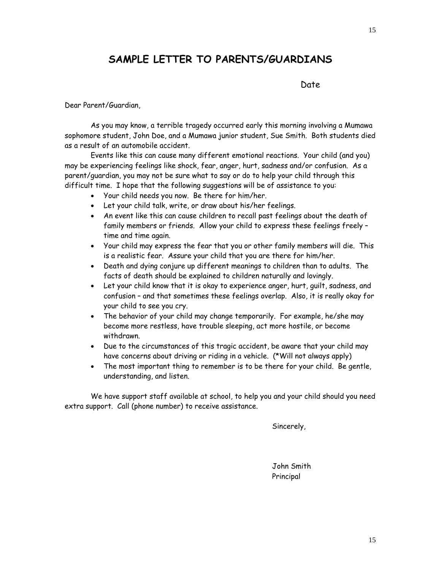## **SAMPLE LETTER TO PARENTS/GUARDIANS**

discussion of the contract of the basic of the basic of the basic of the basic of the basic of the basic of th

Dear Parent/Guardian,

 As you may know, a terrible tragedy occurred early this morning involving a Mumawa sophomore student, John Doe, and a Mumawa junior student, Sue Smith. Both students died as a result of an automobile accident.

 Events like this can cause many different emotional reactions. Your child (and you) may be experiencing feelings like shock, fear, anger, hurt, sadness and/or confusion. As a parent/guardian, you may not be sure what to say or do to help your child through this difficult time. I hope that the following suggestions will be of assistance to you:

- Your child needs you now. Be there for him/her.
- Let your child talk, write, or draw about his/her feelings.
- An event like this can cause children to recall past feelings about the death of family members or friends. Allow your child to express these feelings freely – time and time again.
- Your child may express the fear that you or other family members will die. This is a realistic fear. Assure your child that you are there for him/her.
- Death and dying conjure up different meanings to children than to adults. The facts of death should be explained to children naturally and lovingly.
- Let your child know that it is okay to experience anger, hurt, guilt, sadness, and confusion – and that sometimes these feelings overlap. Also, it is really okay for your child to see you cry.
- The behavior of your child may change temporarily. For example, he/she may become more restless, have trouble sleeping, act more hostile, or become withdrawn.
- Due to the circumstances of this tragic accident, be aware that your child may have concerns about driving or riding in a vehicle. (\*Will not always apply)
- The most important thing to remember is to be there for your child. Be gentle, understanding, and listen.

We have support staff available at school, to help you and your child should you need extra support. Call (phone number) to receive assistance.

Sincerely,

 John Smith Principal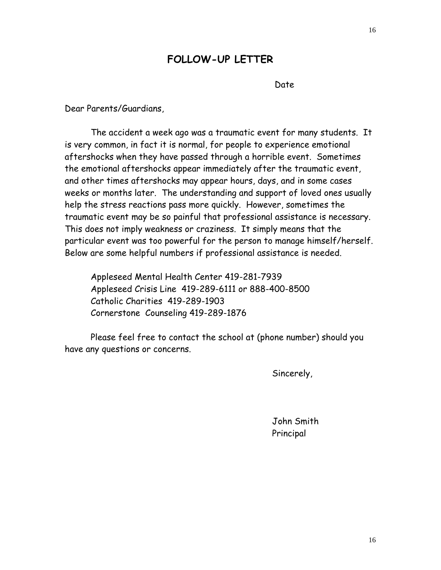# **FOLLOW-UP LETTER**

Date

Dear Parents/Guardians,

 The accident a week ago was a traumatic event for many students. It is very common, in fact it is normal, for people to experience emotional aftershocks when they have passed through a horrible event. Sometimes the emotional aftershocks appear immediately after the traumatic event, and other times aftershocks may appear hours, days, and in some cases weeks or months later. The understanding and support of loved ones usually help the stress reactions pass more quickly. However, sometimes the traumatic event may be so painful that professional assistance is necessary. This does not imply weakness or craziness. It simply means that the particular event was too powerful for the person to manage himself/herself. Below are some helpful numbers if professional assistance is needed.

Appleseed Mental Health Center 419-281-7939 Appleseed Crisis Line 419-289-6111 or 888-400-8500 Catholic Charities 419-289-1903 Cornerstone Counseling 419-289-1876

 Please feel free to contact the school at (phone number) should you have any questions or concerns.

Sincerely,

 John Smith Principal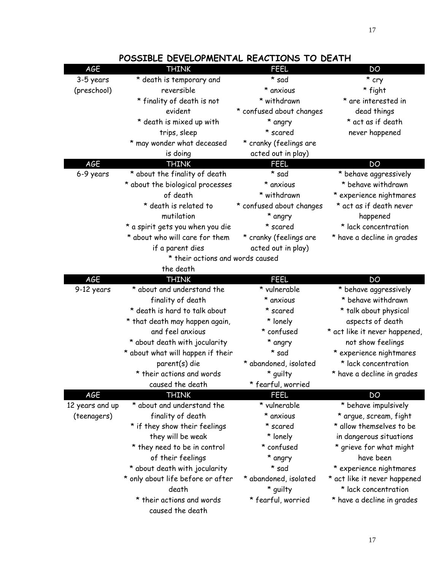| AGE             | <b>THINK</b>                      | <b>FEEL</b>              | DO                            |
|-----------------|-----------------------------------|--------------------------|-------------------------------|
|                 |                                   |                          |                               |
| 3-5 years       | * death is temporary and          | * sad                    | * cry                         |
| (preschool)     | reversible                        | * anxious                | * fight                       |
|                 | * finality of death is not        | * withdrawn              | * are interested in           |
|                 | evident                           | * confused about changes | dead things                   |
|                 | * death is mixed up with          | * angry                  | * act as if death             |
|                 | trips, sleep                      | * scared                 | never happened                |
|                 | * may wonder what deceased        | * cranky (feelings are   |                               |
|                 | is doing                          | acted out in play)       |                               |
| AGE             | <b>THINK</b>                      | <b>FEEL</b>              | DO                            |
| 6-9 years       | * about the finality of death     | * sad                    | * behave aggressively         |
|                 | * about the biological processes  | * anxious                | * behave withdrawn            |
|                 | of death                          | * withdrawn              | * experience nightmares       |
|                 | * death is related to             | * confused about changes | * act as if death never       |
|                 | mutilation                        | * angry                  | happened                      |
|                 | * a spirit gets you when you die  | * scared                 | * lack concentration          |
|                 | * about who will care for them    | * cranky (feelings are   | * have a decline in grades    |
|                 | if a parent dies                  | acted out in play)       |                               |
|                 | * their actions and words caused  |                          |                               |
|                 | the death                         |                          |                               |
| AGE             | <b>THINK</b>                      | <b>FEEL</b>              | DO                            |
| 9-12 years      | * about and understand the        | * vulnerable             | * behave aggressively         |
|                 | finality of death                 | * anxious                | * behave withdrawn            |
|                 | * death is hard to talk about     | * scared                 | * talk about physical         |
|                 | * that death may happen again,    | * lonely                 | aspects of death              |
|                 | and feel anxious                  | * confused               | * act like it never happened, |
|                 | * about death with jocularity     | * angry                  | not show feelings             |
|                 | * about what will happen if their | * sad                    | * experience nightmares       |
|                 | parent(s) die                     | * abandoned, isolated    | * lack concentration          |
|                 | * their actions and words         | * guilty                 | * have a decline in grades    |
|                 | caused the death                  | * fearful, worried       |                               |
| <b>AGE</b>      | <b>THINK</b>                      | <b>FEEL</b>              | DO                            |
| 12 years and up | * about and understand the        | * vulnerable             | * behave impulsively          |
| (teenagers)     | finality of death                 | * anxious                | * argue, scream, fight        |
|                 | * if they show their feelings     | * scared                 | * allow themselves to be      |
|                 | they will be weak                 | * lonely                 | in dangerous situations       |
|                 | * they need to be in control      | * confused               | * grieve for what might       |
|                 | of their feelings                 | * angry                  | have been                     |
|                 | * about death with jocularity     | * sad                    | * experience nightmares       |
|                 | * only about life before or after | * abandoned, isolated    | * act like it never happened  |
|                 | death                             | * guilty                 | * lack concentration          |
|                 | * their actions and words         | * fearful, worried       | * have a decline in grades    |
|                 | caused the death                  |                          |                               |

### **POSSIBLE DEVELOPMENTAL REACTIONS TO DEATH**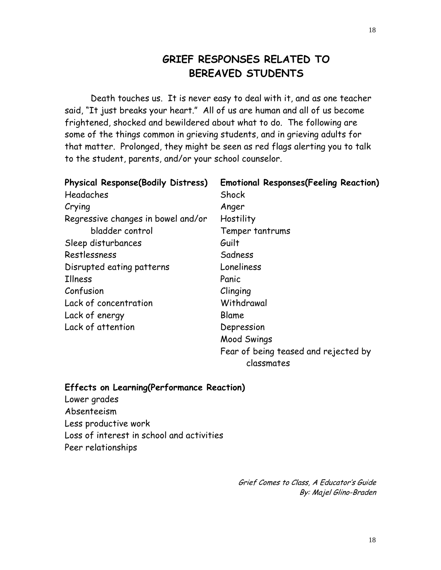# **GRIEF RESPONSES RELATED TO BEREAVED STUDENTS**

 Death touches us. It is never easy to deal with it, and as one teacher said, "It just breaks your heart." All of us are human and all of us become frightened, shocked and bewildered about what to do. The following are some of the things common in grieving students, and in grieving adults for that matter. Prolonged, they might be seen as red flags alerting you to talk to the student, parents, and/or your school counselor.

| <b>Physical Response(Bodily Distress)</b> | <b>Emotional Responses(Feeling Reaction)</b>       |
|-------------------------------------------|----------------------------------------------------|
| Headaches                                 | Shock                                              |
| Crying                                    | Anger                                              |
| Regressive changes in bowel and/or        | Hostility                                          |
| bladder control                           | Temper tantrums                                    |
| Sleep disturbances                        | Guilt                                              |
| Restlessness                              | Sadness                                            |
| Disrupted eating patterns                 | Loneliness                                         |
| <b>Illness</b>                            | Panic                                              |
| Confusion                                 | Clinging                                           |
| Lack of concentration                     | Withdrawal                                         |
| Lack of energy                            | Blame                                              |
| Lack of attention                         | Depression                                         |
|                                           | Mood Swings                                        |
|                                           | Fear of being teased and rejected by<br>classmates |
|                                           |                                                    |

#### **Effects on Learning(Performance Reaction)**

Lower grades Absenteeism Less productive work Loss of interest in school and activities Peer relationships

> Grief Comes to Class, A Educator's Guide By: Majel Glino-Braden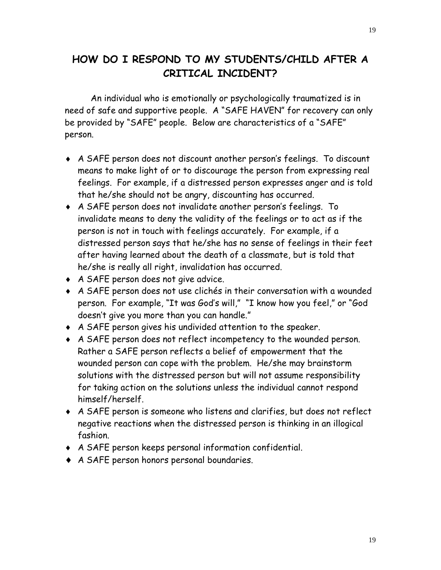# **HOW DO I RESPOND TO MY STUDENTS/CHILD AFTER A CRITICAL INCIDENT?**

 An individual who is emotionally or psychologically traumatized is in need of safe and supportive people. A "SAFE HAVEN" for recovery can only be provided by "SAFE" people. Below are characteristics of a "SAFE" person.

- ♦ A SAFE person does not discount another person's feelings. To discount means to make light of or to discourage the person from expressing real feelings. For example, if a distressed person expresses anger and is told that he/she should not be angry, discounting has occurred.
- ♦ A SAFE person does not invalidate another person's feelings. To invalidate means to deny the validity of the feelings or to act as if the person is not in touch with feelings accurately. For example, if a distressed person says that he/she has no sense of feelings in their feet after having learned about the death of a classmate, but is told that he/she is really all right, invalidation has occurred.
- ♦ A SAFE person does not give advice.
- ♦ A SAFE person does not use clichés in their conversation with a wounded person. For example, "It was God's will," "I know how you feel," or "God doesn't give you more than you can handle."
- ♦ A SAFE person gives his undivided attention to the speaker.
- ♦ A SAFE person does not reflect incompetency to the wounded person. Rather a SAFE person reflects a belief of empowerment that the wounded person can cope with the problem. He/she may brainstorm solutions with the distressed person but will not assume responsibility for taking action on the solutions unless the individual cannot respond himself/herself.
- ♦ A SAFE person is someone who listens and clarifies, but does not reflect negative reactions when the distressed person is thinking in an illogical fashion.
- ♦ A SAFE person keeps personal information confidential.
- ♦ A SAFE person honors personal boundaries.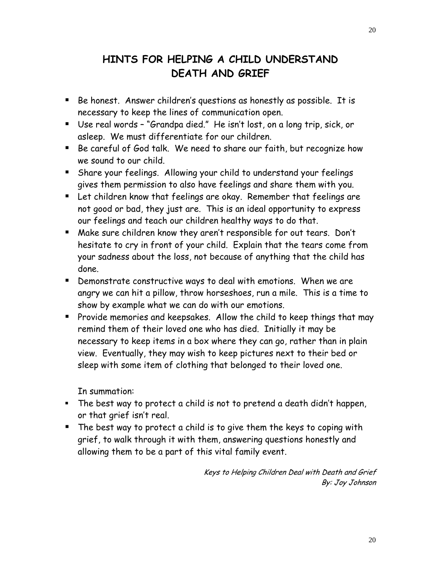# **HINTS FOR HELPING A CHILD UNDERSTAND DEATH AND GRIEF**

- Be honest. Answer children's questions as honestly as possible. It is necessary to keep the lines of communication open.
- Use real words "Grandpa died." He isn't lost, on a long trip, sick, or asleep. We must differentiate for our children.
- Be careful of God talk. We need to share our faith, but recognize how we sound to our child.
- Share your feelings. Allowing your child to understand your feelings gives them permission to also have feelings and share them with you.
- Let children know that feelings are okay. Remember that feelings are not good or bad, they just are. This is an ideal opportunity to express our feelings and teach our children healthy ways to do that.
- Make sure children know they aren't responsible for out tears. Don't hesitate to cry in front of your child. Explain that the tears come from your sadness about the loss, not because of anything that the child has done.
- Demonstrate constructive ways to deal with emotions. When we are angry we can hit a pillow, throw horseshoes, run a mile. This is a time to show by example what we can do with our emotions.
- **Provide memories and keepsakes. Allow the child to keep things that may** remind them of their loved one who has died. Initially it may be necessary to keep items in a box where they can go, rather than in plain view. Eventually, they may wish to keep pictures next to their bed or sleep with some item of clothing that belonged to their loved one.

In summation:

- The best way to protect a child is not to pretend a death didn't happen, or that grief isn't real.
- The best way to protect a child is to give them the keys to coping with grief, to walk through it with them, answering questions honestly and allowing them to be a part of this vital family event.

Keys to Helping Children Deal with Death and Grief By: Joy Johnson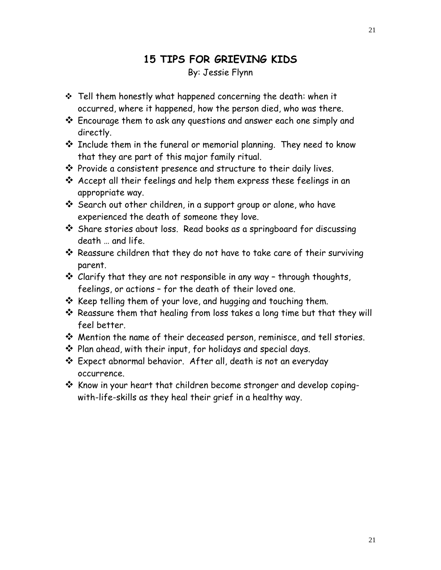## **15 TIPS FOR GRIEVING KIDS**  By: Jessie Flynn

- $\div$  Tell them honestly what happened concerning the death: when it occurred, where it happened, how the person died, who was there.
- Encourage them to ask any questions and answer each one simply and directly.
- $\cdot$  Include them in the funeral or memorial planning. They need to know that they are part of this major family ritual.
- $\cdot$  Provide a consistent presence and structure to their daily lives.
- Accept all their feelings and help them express these feelings in an appropriate way.
- Search out other children, in a support group or alone, who have experienced the death of someone they love.
- Share stories about loss. Read books as a springboard for discussing death … and life.
- Reassure children that they do not have to take care of their surviving parent.
- Clarify that they are not responsible in any way through thoughts, feelings, or actions – for the death of their loved one.
- $\cdot$  Keep telling them of your love, and hugging and touching them.
- Reassure them that healing from loss takes a long time but that they will feel better.
- Mention the name of their deceased person, reminisce, and tell stories.
- Plan ahead, with their input, for holidays and special days.
- Expect abnormal behavior. After all, death is not an everyday occurrence.
- $\cdot$  Know in your heart that children become stronger and develop copingwith-life-skills as they heal their grief in a healthy way.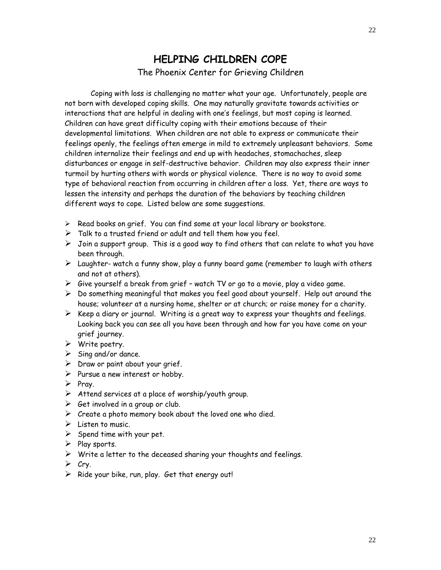### **HELPING CHILDREN COPE**  The Phoenix Center for Grieving Children

 Coping with loss is challenging no matter what your age. Unfortunately, people are not born with developed coping skills. One may naturally gravitate towards activities or interactions that are helpful in dealing with one's feelings, but most coping is learned. Children can have great difficulty coping with their emotions because of their developmental limitations. When children are not able to express or communicate their feelings openly, the feelings often emerge in mild to extremely unpleasant behaviors. Some children internalize their feelings and end up with headaches, stomachaches, sleep disturbances or engage in self-destructive behavior. Children may also express their inner turmoil by hurting others with words or physical violence. There is no way to avoid some type of behavioral reaction from occurring in children after a loss. Yet, there are ways to lessen the intensity and perhaps the duration of the behaviors by teaching children different ways to cope. Listed below are some suggestions.

- $\triangleright$  Read books on grief. You can find some at your local library or bookstore.
- $\triangleright$  Talk to a trusted friend or adult and tell them how you feel.
- $\triangleright$  Join a support group. This is a good way to find others that can relate to what you have been through.
- $\triangleright$  Laughter- watch a funny show, play a funny board game (remember to laugh with others and not at others).
- $\triangleright$  Give yourself a break from grief watch TV or go to a movie, play a video game.
- $\triangleright$  Do something meaningful that makes you feel good about yourself. Help out around the house; volunteer at a nursing home, shelter or at church; or raise money for a charity.
- $\triangleright$  Keep a diary or journal. Writing is a great way to express your thoughts and feelings. Looking back you can see all you have been through and how far you have come on your grief journey.
- $\triangleright$  Write poetry.
- $\triangleright$  Sing and/or dance.
- $\triangleright$  Draw or paint about your grief.
- $\triangleright$  Pursue a new interest or hobby.
- $\triangleright$  Pray.
- $\triangleright$  Attend services at a place of worship/youth group.
- $\triangleright$  Get involved in a group or club.
- $\triangleright$  Create a photo memory book about the loved one who died.
- $\triangleright$  Listen to music.
- $\triangleright$  Spend time with your pet.
- $\triangleright$  Play sports.
- $\triangleright$  Write a letter to the deceased sharing your thoughts and feelings.
- $\triangleright$  Cry.
- $\triangleright$  Ride your bike, run, play. Get that energy out!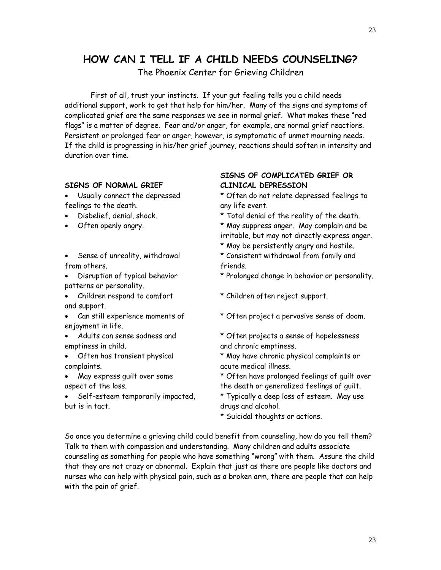# **HOW CAN I TELL IF A CHILD NEEDS COUNSELING?**

The Phoenix Center for Grieving Children

First of all, trust your instincts. If your gut feeling tells you a child needs additional support, work to get that help for him/her. Many of the signs and symptoms of complicated grief are the same responses we see in normal grief. What makes these "red flags" is a matter of degree. Fear and/or anger, for example, are normal grief reactions. Persistent or prolonged fear or anger, however, is symptomatic of unmet mourning needs. If the child is progressing in his/her grief journey, reactions should soften in intensity and duration over time.

#### **SIGNS OF NORMAL GRIEF CLINICAL DEPRESSION**

- feelings to the death. The same state of the event.
- 
- 
- from others. The contraction of the friends.
- patterns or personality.
- and support.
- enjoyment in life.
- emptiness in child. The contract of the contract of the contract emptiness.
- complaints. acute medical illness.
- 
- but is in tact.  $d$  drugs and alcohol.

# **SIGNS OF COMPLICATED GRIEF OR**

• Usually connect the depressed \* Often do not relate depressed feelings to

- Disbelief, denial, shock. \* Total denial of the reality of the death.
- Often openly angry.  $*$  May suppress anger. May complain and be irritable, but may not directly express anger.
	- \* May be persistently angry and hostile.
- Sense of unreality, withdrawal \* Consistent withdrawal from family and
- Disruption of typical behavior \* Prolonged change in behavior or personality.
- Children respond to comfort \* Children often reject support.
- Can still experience moments of \* Often project a pervasive sense of doom.
- Adults can sense sadness and \* Often projects a sense of hopelessness
- Often has transient physical \* May have chronic physical complaints or
- May express guilt over some \* Often have prolonged feelings of guilt over aspect of the loss. the death or generalized feelings of guilt.
	- Self-esteem temporarily impacted, \* Typically a deep loss of esteem. May use

\* Suicidal thoughts or actions.

So once you determine a grieving child could benefit from counseling, how do you tell them? Talk to them with compassion and understanding. Many children and adults associate counseling as something for people who have something "wrong" with them. Assure the child that they are not crazy or abnormal. Explain that just as there are people like doctors and nurses who can help with physical pain, such as a broken arm, there are people that can help with the pain of grief.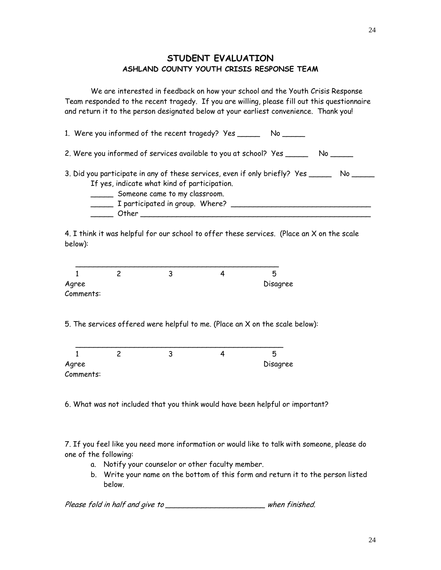#### **STUDENT EVALUATION ASHLAND COUNTY YOUTH CRISIS RESPONSE TEAM**

We are interested in feedback on how your school and the Youth Crisis Response Team responded to the recent tragedy. If you are willing, please fill out this questionnaire and return it to the person designated below at your earliest convenience. Thank you!

1. Were you informed of the recent tragedy? Yes \_\_\_\_\_\_\_ No \_\_\_\_\_\_ 2. Were you informed of services available to you at school? Yes \_\_\_\_\_\_\_ No \_\_\_\_\_ 3. Did you participate in any of these services, even if only briefly? Yes \_\_\_\_\_\_ No \_\_\_\_\_ If yes, indicate what kind of participation. \_\_\_\_\_ Someone came to my classroom.  $\frac{1}{2}$  I participated in group. Where?  $\frac{1}{2}$  $\begin{array}{ccc}\n\hline\n\hline\n\hline\n\end{array}$  Other  $\begin{array}{ccc}\n\hline\n\end{array}$ 

4. I think it was helpful for our school to offer these services. (Place an X on the scale below):



5. The services offered were helpful to me. (Place an X on the scale below):

| Agree     |  | Disagree |
|-----------|--|----------|
| Comments: |  |          |

6. What was not included that you think would have been helpful or important?

7. If you feel like you need more information or would like to talk with someone, please do one of the following:

- a. Notify your counselor or other faculty member.
- b. Write your name on the bottom of this form and return it to the person listed below.

Please fold in half and give to \_\_\_\_\_\_\_\_\_\_\_\_\_\_\_\_\_\_\_\_\_\_\_\_\_\_\_\_\_when finished.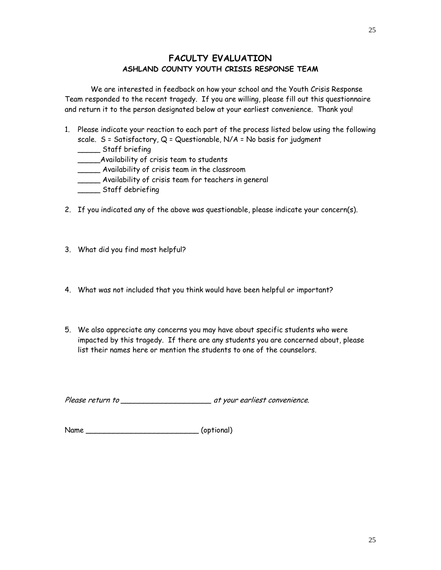#### **FACULTY EVALUATION ASHLAND COUNTY YOUTH CRISIS RESPONSE TEAM**

 We are interested in feedback on how your school and the Youth Crisis Response Team responded to the recent tragedy. If you are willing, please fill out this questionnaire and return it to the person designated below at your earliest convenience. Thank you!

- 1. Please indicate your reaction to each part of the process listed below using the following scale.  $S = S$ atisfactory, Q = Questionable, N/A = No basis for judgment
	- \_\_\_\_\_ Staff briefing
	- \_\_\_\_\_Availability of crisis team to students
	- \_\_\_\_\_ Availability of crisis team in the classroom
	- \_\_\_\_\_ Availability of crisis team for teachers in general
	- \_\_\_\_\_ Staff debriefing
- 2. If you indicated any of the above was questionable, please indicate your concern(s).
- 3. What did you find most helpful?
- 4. What was not included that you think would have been helpful or important?
- 5. We also appreciate any concerns you may have about specific students who were impacted by this tragedy. If there are any students you are concerned about, please list their names here or mention the students to one of the counselors.

Please return to \_\_\_\_\_\_\_\_\_\_\_\_\_\_\_\_\_\_\_\_ at your earliest convenience.

Name \_\_\_\_\_\_\_\_\_\_\_\_\_\_\_\_\_\_\_\_\_\_\_\_\_ (optional)